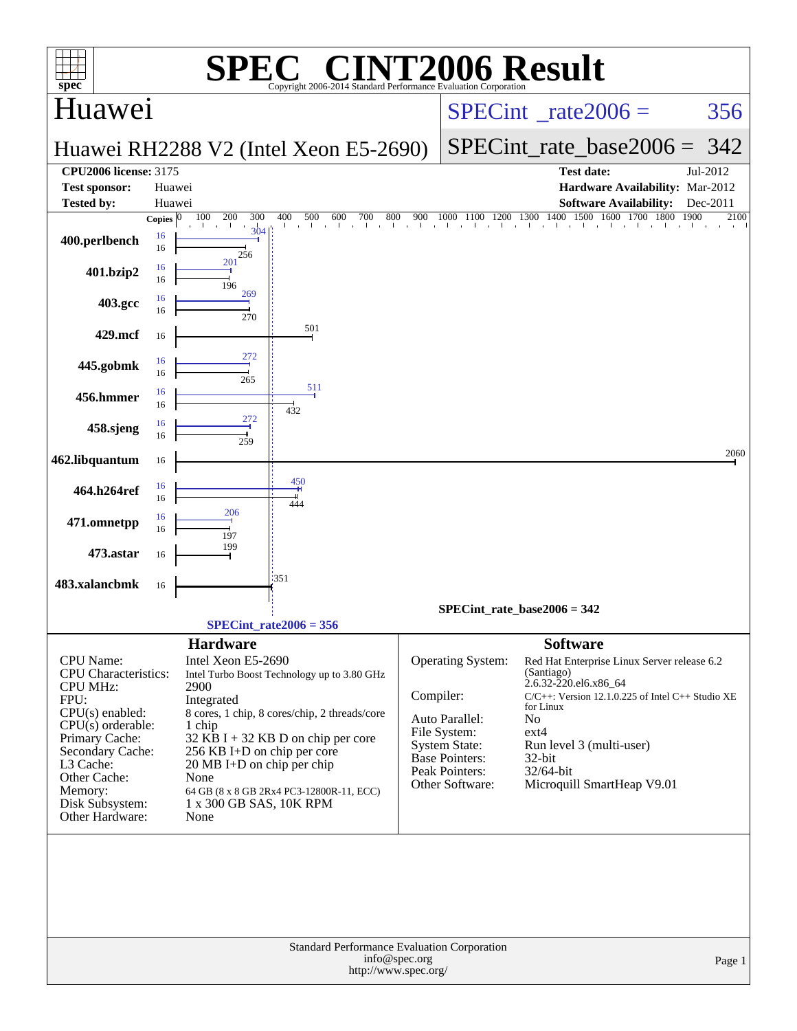|                                                                                                           |              |                                       | $\bigcap$                                     |           |                                         |                                                                                     |              |  |
|-----------------------------------------------------------------------------------------------------------|--------------|---------------------------------------|-----------------------------------------------|-----------|-----------------------------------------|-------------------------------------------------------------------------------------|--------------|--|
| <b>NT2006 Result</b><br>SP<br>$spec^*$<br>Copyright 2006-2014 Standard Performance Evaluation Corporation |              |                                       |                                               |           |                                         |                                                                                     |              |  |
| Huawei                                                                                                    |              |                                       |                                               |           |                                         | $SPECint^{\circ}$ rate $2006 =$                                                     | 356          |  |
|                                                                                                           |              |                                       | Huawei RH2288 V2 (Intel Xeon E5-2690)         |           |                                         | SPECint rate base $2006 = 342$                                                      |              |  |
| <b>CPU2006 license: 3175</b>                                                                              |              |                                       |                                               |           |                                         | <b>Test date:</b>                                                                   | Jul-2012     |  |
| <b>Test sponsor:</b><br><b>Tested by:</b>                                                                 |              | Huawei<br>Huawei                      |                                               |           |                                         | Hardware Availability: Mar-2012<br><b>Software Availability:</b>                    | Dec-2011     |  |
|                                                                                                           | Copies $ 0 $ | 100<br>200<br>300                     | 400<br>800<br>500<br>600<br>700<br>.          | 900       |                                         | 1000 1100 1200 1300 1400 1500 1600 1700 1800<br>the contract of the contract of the | 1900<br>2100 |  |
| 400.perlbench                                                                                             | 16<br>16     | 304<br>256                            |                                               |           |                                         |                                                                                     |              |  |
| 401.bzip2                                                                                                 | 16<br>16     | 201<br>196                            |                                               |           |                                         |                                                                                     |              |  |
| 403.gcc                                                                                                   | 16<br>16     | 269<br>270                            |                                               |           |                                         |                                                                                     |              |  |
| 429.mcf                                                                                                   | 16           |                                       | 501                                           |           |                                         |                                                                                     |              |  |
| 445.gobmk                                                                                                 | 16<br>16     | 272<br>265                            |                                               |           |                                         |                                                                                     |              |  |
| 456.hmmer                                                                                                 | 16<br>16     |                                       | 511<br>432                                    |           |                                         |                                                                                     |              |  |
| 458.sjeng                                                                                                 | 16<br>16     | 272<br>259                            |                                               |           |                                         |                                                                                     |              |  |
| 462.libquantum                                                                                            | 16           |                                       |                                               |           |                                         |                                                                                     | 2060         |  |
| 464.h264ref                                                                                               | 16<br>16     |                                       | 450<br>444                                    |           |                                         |                                                                                     |              |  |
| 471.omnetpp                                                                                               | 16<br>16     | 206<br>197                            |                                               |           |                                         |                                                                                     |              |  |
| 473.astar                                                                                                 | 16           | 199                                   |                                               |           |                                         |                                                                                     |              |  |
| 483.xalancbmk                                                                                             | 16           |                                       | 1351                                          |           |                                         |                                                                                     |              |  |
|                                                                                                           |              |                                       |                                               |           |                                         | SPECint rate base2006 = $342$                                                       |              |  |
|                                                                                                           |              |                                       | SPECint rate $2006 = 356$                     |           |                                         |                                                                                     |              |  |
| <b>CPU</b> Name:                                                                                          |              | <b>Hardware</b><br>Intel Xeon E5-2690 |                                               |           | <b>Operating System:</b>                | <b>Software</b><br>Red Hat Enterprise Linux Server release 6.2                      |              |  |
| CPU Characteristics:<br><b>CPU MHz:</b>                                                                   |              | 2900                                  | Intel Turbo Boost Technology up to 3.80 GHz   |           |                                         | (Santiago)<br>2.6.32-220.el6.x86_64                                                 |              |  |
| FPU:<br>$CPU(s)$ enabled:                                                                                 |              | Integrated                            | 8 cores, 1 chip, 8 cores/chip, 2 threads/core | Compiler: |                                         | $C/C++$ : Version 12.1.0.225 of Intel $C++$ Studio XE<br>for Linux                  |              |  |
| $CPU(s)$ orderable:                                                                                       |              | 1 chip                                |                                               |           | Auto Parallel:<br>File System:          | No<br>$ext{4}$                                                                      |              |  |
| Primary Cache:<br>Secondary Cache:                                                                        |              | 256 KB I+D on chip per core           | $32$ KB I + 32 KB D on chip per core          |           | <b>System State:</b>                    | Run level 3 (multi-user)                                                            |              |  |
| L3 Cache:                                                                                                 |              | $20 \text{ MB I+D}$ on chip per chip  |                                               |           | <b>Base Pointers:</b><br>Peak Pointers: | 32-bit<br>32/64-bit                                                                 |              |  |
| Other Cache:<br>Memory:                                                                                   |              | None                                  | 64 GB (8 x 8 GB 2Rx4 PC3-12800R-11, ECC)      |           | Other Software:                         | Microquill SmartHeap V9.01                                                          |              |  |
| Disk Subsystem:<br>Other Hardware:                                                                        |              | 1 x 300 GB SAS, 10K RPM<br>None       |                                               |           |                                         |                                                                                     |              |  |
|                                                                                                           |              |                                       |                                               |           |                                         |                                                                                     |              |  |
|                                                                                                           |              |                                       |                                               |           |                                         |                                                                                     |              |  |
|                                                                                                           |              |                                       |                                               |           |                                         |                                                                                     |              |  |
|                                                                                                           |              |                                       |                                               |           |                                         |                                                                                     |              |  |
| Standard Performance Evaluation Corporation                                                               |              |                                       |                                               |           |                                         |                                                                                     |              |  |
| info@spec.org<br>Page 1<br>http://www.spec.org/                                                           |              |                                       |                                               |           |                                         |                                                                                     |              |  |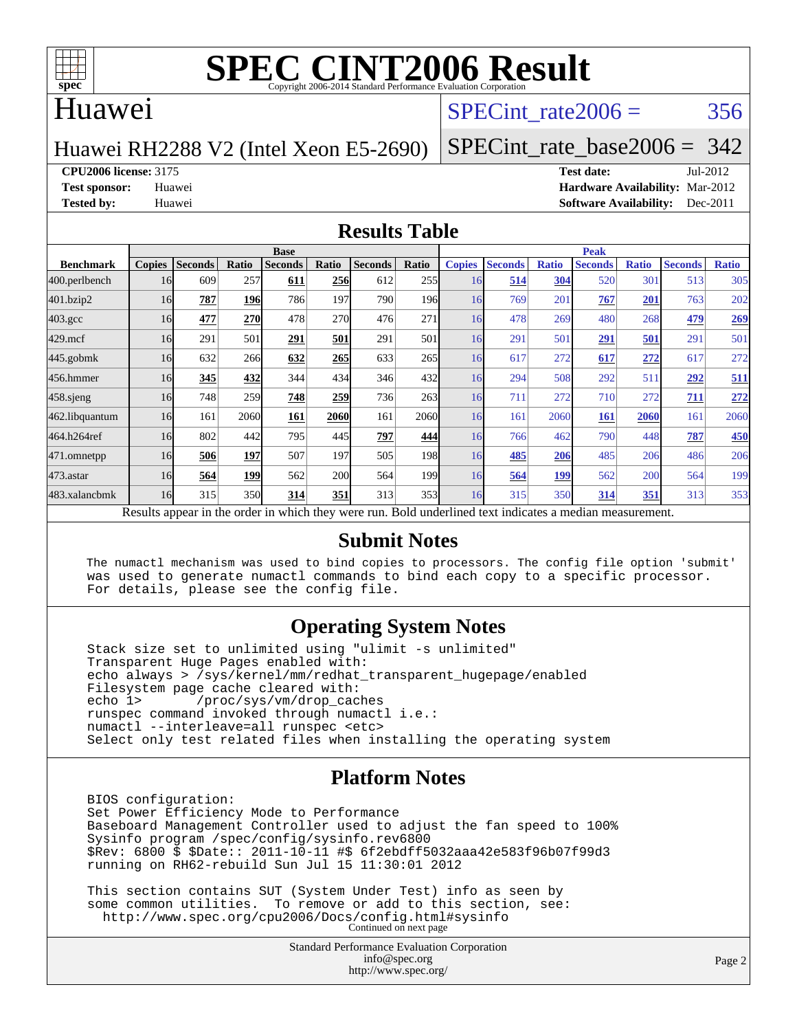

### Huawei

## SPECint rate $2006 = 356$

Huawei RH2288 V2 (Intel Xeon E5-2690)

[SPECint\\_rate\\_base2006 =](http://www.spec.org/auto/cpu2006/Docs/result-fields.html#SPECintratebase2006) 342

**[CPU2006 license:](http://www.spec.org/auto/cpu2006/Docs/result-fields.html#CPU2006license)** 3175 **[Test date:](http://www.spec.org/auto/cpu2006/Docs/result-fields.html#Testdate)** Jul-2012

**[Test sponsor:](http://www.spec.org/auto/cpu2006/Docs/result-fields.html#Testsponsor)** Huawei **[Hardware Availability:](http://www.spec.org/auto/cpu2006/Docs/result-fields.html#HardwareAvailability)** Mar-2012 **[Tested by:](http://www.spec.org/auto/cpu2006/Docs/result-fields.html#Testedby)** Huawei **[Software Availability:](http://www.spec.org/auto/cpu2006/Docs/result-fields.html#SoftwareAvailability)** Dec-2011

#### **[Results Table](http://www.spec.org/auto/cpu2006/Docs/result-fields.html#ResultsTable)**

|                                                                                                          | <b>Base</b>   |                |            |                |            |                | <b>Peak</b>      |               |                |              |                |              |                |              |
|----------------------------------------------------------------------------------------------------------|---------------|----------------|------------|----------------|------------|----------------|------------------|---------------|----------------|--------------|----------------|--------------|----------------|--------------|
| <b>Benchmark</b>                                                                                         | <b>Copies</b> | <b>Seconds</b> | Ratio      | <b>Seconds</b> | Ratio      | <b>Seconds</b> | Ratio            | <b>Copies</b> | <b>Seconds</b> | <b>Ratio</b> | <b>Seconds</b> | <b>Ratio</b> | <b>Seconds</b> | <b>Ratio</b> |
| 400.perlbench                                                                                            | 16            | 609            | 257        | 611            | <b>256</b> | 612            | 255              | 16            | 514            | 304          | 520            | 301          | 513            | 305          |
| 401.bzip2                                                                                                | 16            | 787            | <b>196</b> | 786            | 197        | 790            | 196 <sub>l</sub> | 16            | 769            | 201          | 767            | 201          | 763            | 202          |
| $403.\mathrm{gcc}$                                                                                       | 16            | 477            | 270        | 478            | 270        | 476            | 271              | 16            | 478            | 269          | 480            | 268          | 479            | 269          |
| $429$ .mcf                                                                                               | 16            | 291            | 501        | 291            | 501        | 291            | 501              | 16            | 291            | 501          | 291            | 501          | 291            | 501          |
| $445$ .gobmk                                                                                             | 16            | 632            | 266        | 632            | 265        | 633            | 265              | 16            | 617            | 272          | 617            | 272          | 617            | 272          |
| 456.hmmer                                                                                                | 16            | 345            | 432        | 344            | 434        | 346            | 432              | 16            | 294            | 508          | 292            | 511          | 292            | 511          |
| $458$ .sjeng                                                                                             | 16            | 748            | 259        | 748            | 259        | 736            | 263              | 16            | 711            | 272          | 710            | 272          | 711            | 272          |
| 462.libquantum                                                                                           | 16            | 161            | 2060       | 161            | 2060       | 161            | 2060             | 16            | 161            | 2060         | <b>161</b>     | 2060         | 161            | 2060         |
| 464.h264ref                                                                                              | 16            | 802            | 442        | 795            | 445        | 797            | 444              | 16            | 766            | 462          | 790            | 448          | 787            | <b>450</b>   |
| 471.omnetpp                                                                                              | 16            | 506            | 197        | 507            | 197        | 505            | 198 <sub>l</sub> | 16            | 485            | 206          | 485            | 206          | 486            | 206          |
| $473.$ astar                                                                                             | 16            | 564            | 199        | 562            | 200        | 564            | 199 <sub>1</sub> | 16            | 564            | 199          | 562            | 200          | 564            | 199          |
| 483.xalancbmk                                                                                            | 16            | 315            | 350        | 314            | 351        | 313            | 353              | 16            | 315            | 350          | 314            | 351          | 313            | 353          |
| Results appear in the order in which they were run. Bold underlined text indicates a median measurement. |               |                |            |                |            |                |                  |               |                |              |                |              |                |              |

#### **[Submit Notes](http://www.spec.org/auto/cpu2006/Docs/result-fields.html#SubmitNotes)**

 The numactl mechanism was used to bind copies to processors. The config file option 'submit' was used to generate numactl commands to bind each copy to a specific processor. For details, please see the config file.

#### **[Operating System Notes](http://www.spec.org/auto/cpu2006/Docs/result-fields.html#OperatingSystemNotes)**

 Stack size set to unlimited using "ulimit -s unlimited" Transparent Huge Pages enabled with: echo always > /sys/kernel/mm/redhat\_transparent\_hugepage/enabled Filesystem page cache cleared with:<br>echo 1> /proc/sys/vm/drop cac /proc/sys/vm/drop\_caches runspec command invoked through numactl i.e.: numactl --interleave=all runspec <etc> Select only test related files when installing the operating system

### **[Platform Notes](http://www.spec.org/auto/cpu2006/Docs/result-fields.html#PlatformNotes)**

 BIOS configuration: Set Power Efficiency Mode to Performance Baseboard Management Controller used to adjust the fan speed to 100% Sysinfo program /spec/config/sysinfo.rev6800 \$Rev: 6800 \$ \$Date:: 2011-10-11 #\$ 6f2ebdff5032aaa42e583f96b07f99d3 running on RH62-rebuild Sun Jul 15 11:30:01 2012

 This section contains SUT (System Under Test) info as seen by some common utilities. To remove or add to this section, see: <http://www.spec.org/cpu2006/Docs/config.html#sysinfo> Continued on next page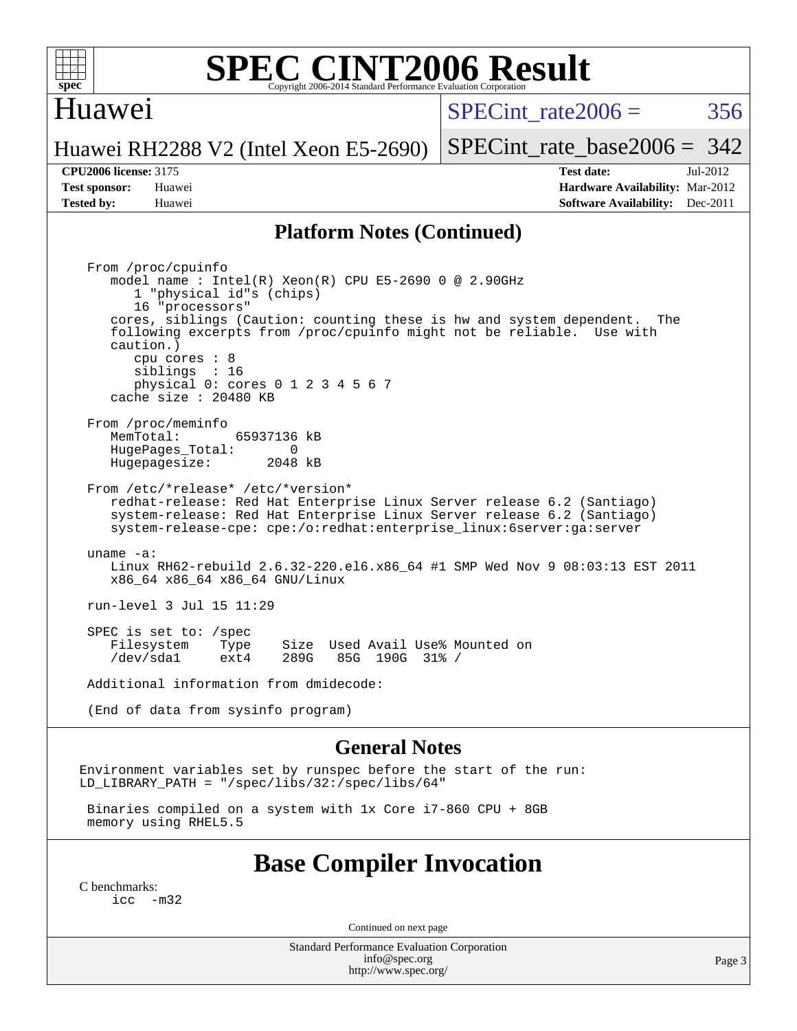

### Huawei

 $SPECint rate2006 = 356$ 

[SPECint\\_rate\\_base2006 =](http://www.spec.org/auto/cpu2006/Docs/result-fields.html#SPECintratebase2006) 342

#### Huawei RH2288 V2 (Intel Xeon E5-2690)

**[CPU2006 license:](http://www.spec.org/auto/cpu2006/Docs/result-fields.html#CPU2006license)** 3175 **[Test date:](http://www.spec.org/auto/cpu2006/Docs/result-fields.html#Testdate)** Jul-2012 **[Test sponsor:](http://www.spec.org/auto/cpu2006/Docs/result-fields.html#Testsponsor)** Huawei **[Hardware Availability:](http://www.spec.org/auto/cpu2006/Docs/result-fields.html#HardwareAvailability)** Mar-2012 **[Tested by:](http://www.spec.org/auto/cpu2006/Docs/result-fields.html#Testedby)** Huawei **[Software Availability:](http://www.spec.org/auto/cpu2006/Docs/result-fields.html#SoftwareAvailability)** Dec-2011

#### **[Platform Notes \(Continued\)](http://www.spec.org/auto/cpu2006/Docs/result-fields.html#PlatformNotes)**

 From /proc/cpuinfo model name : Intel(R) Xeon(R) CPU E5-2690 0 @ 2.90GHz 1 "physical id"s (chips) 16 "processors" cores, siblings (Caution: counting these is hw and system dependent. The following excerpts from /proc/cpuinfo might not be reliable. Use with caution.) cpu cores : 8 siblings : 16 physical 0: cores 0 1 2 3 4 5 6 7 cache size : 20480 KB From /proc/meminfo<br>MemTotal: 65937136 kB HugePages\_Total: 0<br>Hugepagesize: 2048 kB Hugepagesize: From /etc/\*release\* /etc/\*version\* redhat-release: Red Hat Enterprise Linux Server release 6.2 (Santiago) system-release: Red Hat Enterprise Linux Server release 6.2 (Santiago) system-release-cpe: cpe:/o:redhat:enterprise\_linux:6server:ga:server uname -a: Linux RH62-rebuild 2.6.32-220.el6.x86\_64 #1 SMP Wed Nov 9 08:03:13 EST 2011 x86\_64 x86\_64 x86\_64 GNU/Linux run-level 3 Jul 15 11:29 SPEC is set to: /spec Filesystem Type Size Used Avail Use% Mounted on<br>
/dev/sdal ext4 289G 85G 190G 31% / 85G 190G 31% / Additional information from dmidecode: (End of data from sysinfo program)

#### **[General Notes](http://www.spec.org/auto/cpu2006/Docs/result-fields.html#GeneralNotes)**

Environment variables set by runspec before the start of the run: LD LIBRARY PATH = "/spec/libs/32:/spec/libs/64"

 Binaries compiled on a system with 1x Core i7-860 CPU + 8GB memory using RHEL5.5

### **[Base Compiler Invocation](http://www.spec.org/auto/cpu2006/Docs/result-fields.html#BaseCompilerInvocation)**

[C benchmarks](http://www.spec.org/auto/cpu2006/Docs/result-fields.html#Cbenchmarks):  $inc -m32$ 

Continued on next page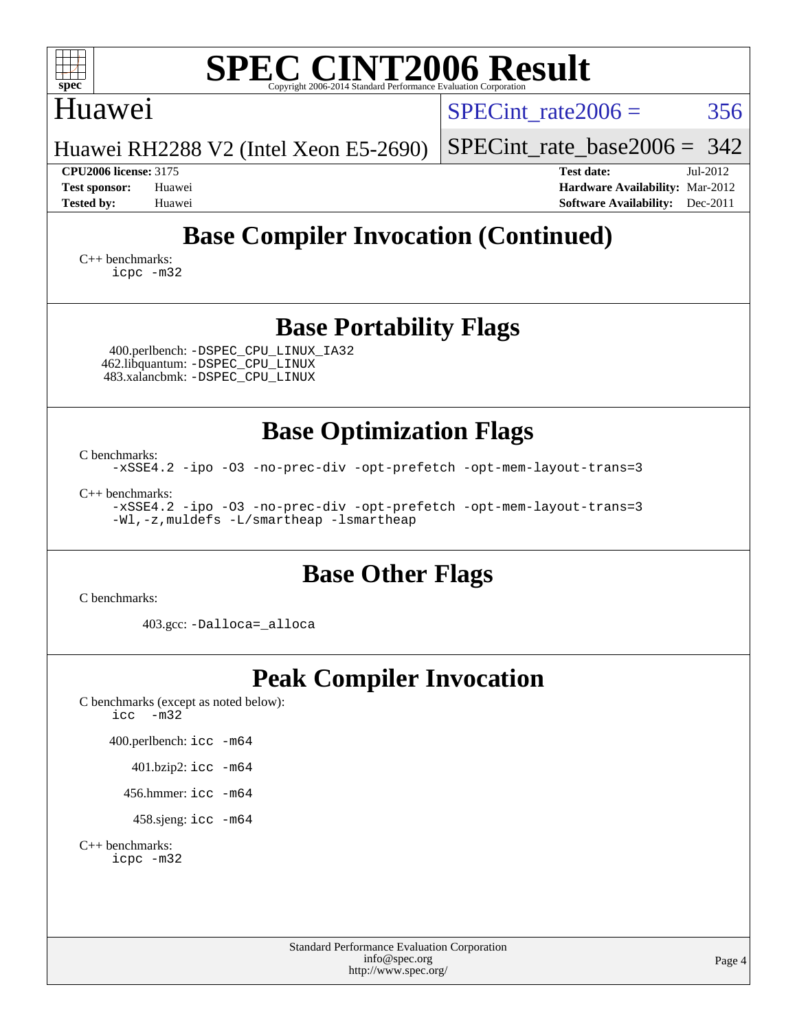| <b>SPEC CINT2006 Result</b><br>$spec^*$<br>Copyright 2006-2014 Standard Performance Evaluation Corporatio                                     |                                                                                                            |  |  |  |  |  |  |
|-----------------------------------------------------------------------------------------------------------------------------------------------|------------------------------------------------------------------------------------------------------------|--|--|--|--|--|--|
| Huawei                                                                                                                                        | 356<br>$SPECint \ rate2006 =$                                                                              |  |  |  |  |  |  |
| Huawei RH2288 V2 (Intel Xeon E5-2690)                                                                                                         | $SPECint_rate_base2006 = 342$                                                                              |  |  |  |  |  |  |
| <b>CPU2006 license: 3175</b><br><b>Test sponsor:</b><br>Huawei<br><b>Tested by:</b><br>Huawei                                                 | <b>Test date:</b><br>Jul-2012<br>Hardware Availability: Mar-2012<br><b>Software Availability:</b> Dec-2011 |  |  |  |  |  |  |
| <b>Base Compiler Invocation (Continued)</b><br>$C_{++}$ benchmarks:<br>icpc -m32                                                              |                                                                                                            |  |  |  |  |  |  |
| <b>Base Portability Flags</b><br>400.perlbench: -DSPEC_CPU_LINUX_IA32<br>462.libquantum: - DSPEC CPU LINUX<br>483.xalancbmk: -DSPEC_CPU_LINUX |                                                                                                            |  |  |  |  |  |  |
| <b>Base Optimization Flags</b>                                                                                                                |                                                                                                            |  |  |  |  |  |  |
| C benchmarks:<br>-xSSE4.2 -ipo -03 -no-prec-div -opt-prefetch -opt-mem-layout-trans=3                                                         |                                                                                                            |  |  |  |  |  |  |
| $C_{++}$ benchmarks:<br>-xSSE4.2 -ipo -03 -no-prec-div -opt-prefetch -opt-mem-layout-trans=3<br>-Wl,-z, muldefs -L/smartheap -lsmartheap      |                                                                                                            |  |  |  |  |  |  |
| <b>Base Other Flags</b>                                                                                                                       |                                                                                                            |  |  |  |  |  |  |
| C benchmarks:                                                                                                                                 |                                                                                                            |  |  |  |  |  |  |
| 403.gcc: -Dalloca=_alloca                                                                                                                     |                                                                                                            |  |  |  |  |  |  |
| <b>Peak Compiler Invocation</b><br>C benchmarks (except as noted below):<br>$-m32$<br>icc                                                     |                                                                                                            |  |  |  |  |  |  |

400.perlbench: [icc -m64](http://www.spec.org/cpu2006/results/res2012q3/cpu2006-20120722-23801.flags.html#user_peakCCLD400_perlbench_intel_icc_64bit_bda6cc9af1fdbb0edc3795bac97ada53)

401.bzip2: [icc -m64](http://www.spec.org/cpu2006/results/res2012q3/cpu2006-20120722-23801.flags.html#user_peakCCLD401_bzip2_intel_icc_64bit_bda6cc9af1fdbb0edc3795bac97ada53)

456.hmmer: [icc -m64](http://www.spec.org/cpu2006/results/res2012q3/cpu2006-20120722-23801.flags.html#user_peakCCLD456_hmmer_intel_icc_64bit_bda6cc9af1fdbb0edc3795bac97ada53)

458.sjeng: [icc -m64](http://www.spec.org/cpu2006/results/res2012q3/cpu2006-20120722-23801.flags.html#user_peakCCLD458_sjeng_intel_icc_64bit_bda6cc9af1fdbb0edc3795bac97ada53)

[C++ benchmarks:](http://www.spec.org/auto/cpu2006/Docs/result-fields.html#CXXbenchmarks) [icpc -m32](http://www.spec.org/cpu2006/results/res2012q3/cpu2006-20120722-23801.flags.html#user_CXXpeak_intel_icpc_4e5a5ef1a53fd332b3c49e69c3330699)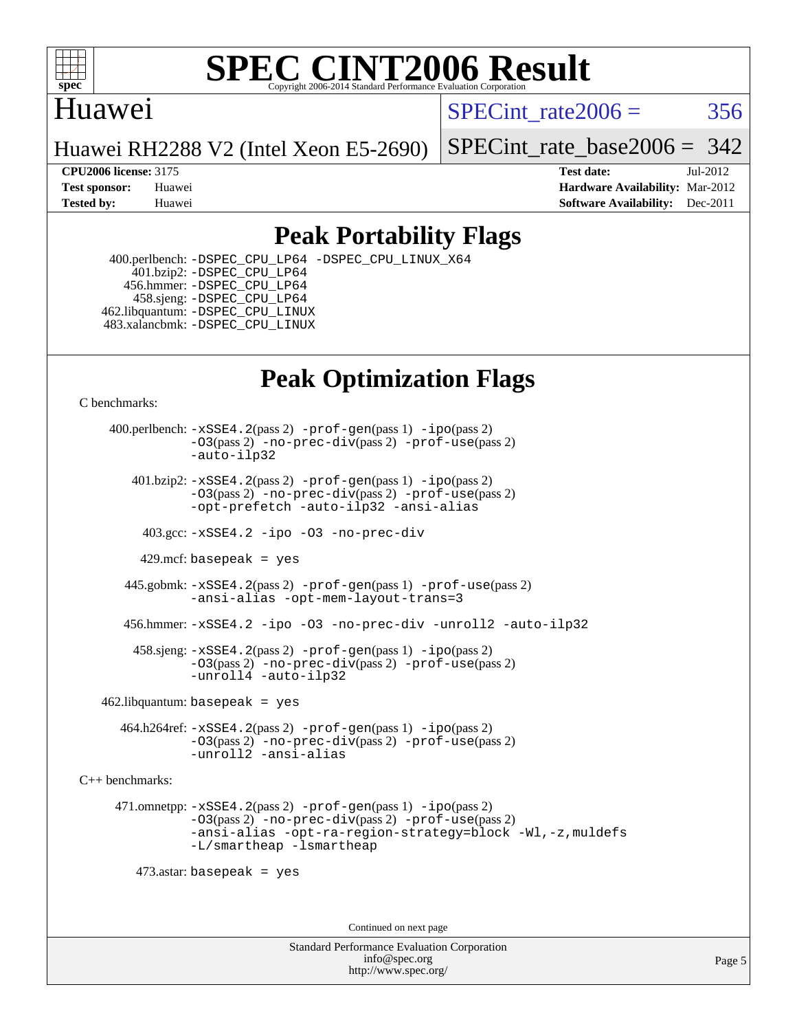

## Huawei

SPECint rate $2006 = 356$ 

Huawei RH2288 V2 (Intel Xeon E5-2690)

[SPECint\\_rate\\_base2006 =](http://www.spec.org/auto/cpu2006/Docs/result-fields.html#SPECintratebase2006) 342

**[CPU2006 license:](http://www.spec.org/auto/cpu2006/Docs/result-fields.html#CPU2006license)** 3175 **[Test date:](http://www.spec.org/auto/cpu2006/Docs/result-fields.html#Testdate)** Jul-2012 **[Test sponsor:](http://www.spec.org/auto/cpu2006/Docs/result-fields.html#Testsponsor)** Huawei **[Hardware Availability:](http://www.spec.org/auto/cpu2006/Docs/result-fields.html#HardwareAvailability)** Mar-2012 **[Tested by:](http://www.spec.org/auto/cpu2006/Docs/result-fields.html#Testedby)** Huawei **[Software Availability:](http://www.spec.org/auto/cpu2006/Docs/result-fields.html#SoftwareAvailability)** Dec-2011

## **[Peak Portability Flags](http://www.spec.org/auto/cpu2006/Docs/result-fields.html#PeakPortabilityFlags)**

 400.perlbench: [-DSPEC\\_CPU\\_LP64](http://www.spec.org/cpu2006/results/res2012q3/cpu2006-20120722-23801.flags.html#b400.perlbench_peakCPORTABILITY_DSPEC_CPU_LP64) [-DSPEC\\_CPU\\_LINUX\\_X64](http://www.spec.org/cpu2006/results/res2012q3/cpu2006-20120722-23801.flags.html#b400.perlbench_peakCPORTABILITY_DSPEC_CPU_LINUX_X64) 401.bzip2: [-DSPEC\\_CPU\\_LP64](http://www.spec.org/cpu2006/results/res2012q3/cpu2006-20120722-23801.flags.html#suite_peakCPORTABILITY401_bzip2_DSPEC_CPU_LP64) 456.hmmer: [-DSPEC\\_CPU\\_LP64](http://www.spec.org/cpu2006/results/res2012q3/cpu2006-20120722-23801.flags.html#suite_peakCPORTABILITY456_hmmer_DSPEC_CPU_LP64) 458.sjeng: [-DSPEC\\_CPU\\_LP64](http://www.spec.org/cpu2006/results/res2012q3/cpu2006-20120722-23801.flags.html#suite_peakCPORTABILITY458_sjeng_DSPEC_CPU_LP64) 462.libquantum: [-DSPEC\\_CPU\\_LINUX](http://www.spec.org/cpu2006/results/res2012q3/cpu2006-20120722-23801.flags.html#b462.libquantum_peakCPORTABILITY_DSPEC_CPU_LINUX) 483.xalancbmk: [-DSPEC\\_CPU\\_LINUX](http://www.spec.org/cpu2006/results/res2012q3/cpu2006-20120722-23801.flags.html#b483.xalancbmk_peakCXXPORTABILITY_DSPEC_CPU_LINUX)

# **[Peak Optimization Flags](http://www.spec.org/auto/cpu2006/Docs/result-fields.html#PeakOptimizationFlags)**

[C benchmarks](http://www.spec.org/auto/cpu2006/Docs/result-fields.html#Cbenchmarks):

 400.perlbench: [-xSSE4.2](http://www.spec.org/cpu2006/results/res2012q3/cpu2006-20120722-23801.flags.html#user_peakPASS2_CFLAGSPASS2_LDCFLAGS400_perlbench_f-xSSE42_f91528193cf0b216347adb8b939d4107)(pass 2) [-prof-gen](http://www.spec.org/cpu2006/results/res2012q3/cpu2006-20120722-23801.flags.html#user_peakPASS1_CFLAGSPASS1_LDCFLAGS400_perlbench_prof_gen_e43856698f6ca7b7e442dfd80e94a8fc)(pass 1) [-ipo](http://www.spec.org/cpu2006/results/res2012q3/cpu2006-20120722-23801.flags.html#user_peakPASS2_CFLAGSPASS2_LDCFLAGS400_perlbench_f-ipo)(pass 2) [-O3](http://www.spec.org/cpu2006/results/res2012q3/cpu2006-20120722-23801.flags.html#user_peakPASS2_CFLAGSPASS2_LDCFLAGS400_perlbench_f-O3)(pass 2) [-no-prec-div](http://www.spec.org/cpu2006/results/res2012q3/cpu2006-20120722-23801.flags.html#user_peakPASS2_CFLAGSPASS2_LDCFLAGS400_perlbench_f-no-prec-div)(pass 2) [-prof-use](http://www.spec.org/cpu2006/results/res2012q3/cpu2006-20120722-23801.flags.html#user_peakPASS2_CFLAGSPASS2_LDCFLAGS400_perlbench_prof_use_bccf7792157ff70d64e32fe3e1250b55)(pass 2) [-auto-ilp32](http://www.spec.org/cpu2006/results/res2012q3/cpu2006-20120722-23801.flags.html#user_peakCOPTIMIZE400_perlbench_f-auto-ilp32)  $401.bzip2: -xSSE4.2(pass 2) -prof-qen(pass 1) -ipo(pass 2)$  $401.bzip2: -xSSE4.2(pass 2) -prof-qen(pass 1) -ipo(pass 2)$  $401.bzip2: -xSSE4.2(pass 2) -prof-qen(pass 1) -ipo(pass 2)$  $401.bzip2: -xSSE4.2(pass 2) -prof-qen(pass 1) -ipo(pass 2)$  $401.bzip2: -xSSE4.2(pass 2) -prof-qen(pass 1) -ipo(pass 2)$ [-O3](http://www.spec.org/cpu2006/results/res2012q3/cpu2006-20120722-23801.flags.html#user_peakPASS2_CFLAGSPASS2_LDCFLAGS401_bzip2_f-O3)(pass 2) [-no-prec-div](http://www.spec.org/cpu2006/results/res2012q3/cpu2006-20120722-23801.flags.html#user_peakPASS2_CFLAGSPASS2_LDCFLAGS401_bzip2_f-no-prec-div)(pass 2) [-prof-use](http://www.spec.org/cpu2006/results/res2012q3/cpu2006-20120722-23801.flags.html#user_peakPASS2_CFLAGSPASS2_LDCFLAGS401_bzip2_prof_use_bccf7792157ff70d64e32fe3e1250b55)(pass 2) [-opt-prefetch](http://www.spec.org/cpu2006/results/res2012q3/cpu2006-20120722-23801.flags.html#user_peakCOPTIMIZE401_bzip2_f-opt-prefetch) [-auto-ilp32](http://www.spec.org/cpu2006/results/res2012q3/cpu2006-20120722-23801.flags.html#user_peakCOPTIMIZE401_bzip2_f-auto-ilp32) [-ansi-alias](http://www.spec.org/cpu2006/results/res2012q3/cpu2006-20120722-23801.flags.html#user_peakCOPTIMIZE401_bzip2_f-ansi-alias) 403.gcc: [-xSSE4.2](http://www.spec.org/cpu2006/results/res2012q3/cpu2006-20120722-23801.flags.html#user_peakCOPTIMIZE403_gcc_f-xSSE42_f91528193cf0b216347adb8b939d4107) [-ipo](http://www.spec.org/cpu2006/results/res2012q3/cpu2006-20120722-23801.flags.html#user_peakCOPTIMIZE403_gcc_f-ipo) [-O3](http://www.spec.org/cpu2006/results/res2012q3/cpu2006-20120722-23801.flags.html#user_peakCOPTIMIZE403_gcc_f-O3) [-no-prec-div](http://www.spec.org/cpu2006/results/res2012q3/cpu2006-20120722-23801.flags.html#user_peakCOPTIMIZE403_gcc_f-no-prec-div) 429.mcf: basepeak = yes 445.gobmk: [-xSSE4.2](http://www.spec.org/cpu2006/results/res2012q3/cpu2006-20120722-23801.flags.html#user_peakPASS2_CFLAGSPASS2_LDCFLAGS445_gobmk_f-xSSE42_f91528193cf0b216347adb8b939d4107)(pass 2) [-prof-gen](http://www.spec.org/cpu2006/results/res2012q3/cpu2006-20120722-23801.flags.html#user_peakPASS1_CFLAGSPASS1_LDCFLAGS445_gobmk_prof_gen_e43856698f6ca7b7e442dfd80e94a8fc)(pass 1) [-prof-use](http://www.spec.org/cpu2006/results/res2012q3/cpu2006-20120722-23801.flags.html#user_peakPASS2_CFLAGSPASS2_LDCFLAGS445_gobmk_prof_use_bccf7792157ff70d64e32fe3e1250b55)(pass 2) [-ansi-alias](http://www.spec.org/cpu2006/results/res2012q3/cpu2006-20120722-23801.flags.html#user_peakCOPTIMIZE445_gobmk_f-ansi-alias) [-opt-mem-layout-trans=3](http://www.spec.org/cpu2006/results/res2012q3/cpu2006-20120722-23801.flags.html#user_peakCOPTIMIZE445_gobmk_f-opt-mem-layout-trans_a7b82ad4bd7abf52556d4961a2ae94d5) 456.hmmer: [-xSSE4.2](http://www.spec.org/cpu2006/results/res2012q3/cpu2006-20120722-23801.flags.html#user_peakCOPTIMIZE456_hmmer_f-xSSE42_f91528193cf0b216347adb8b939d4107) [-ipo](http://www.spec.org/cpu2006/results/res2012q3/cpu2006-20120722-23801.flags.html#user_peakCOPTIMIZE456_hmmer_f-ipo) [-O3](http://www.spec.org/cpu2006/results/res2012q3/cpu2006-20120722-23801.flags.html#user_peakCOPTIMIZE456_hmmer_f-O3) [-no-prec-div](http://www.spec.org/cpu2006/results/res2012q3/cpu2006-20120722-23801.flags.html#user_peakCOPTIMIZE456_hmmer_f-no-prec-div) [-unroll2](http://www.spec.org/cpu2006/results/res2012q3/cpu2006-20120722-23801.flags.html#user_peakCOPTIMIZE456_hmmer_f-unroll_784dae83bebfb236979b41d2422d7ec2) [-auto-ilp32](http://www.spec.org/cpu2006/results/res2012q3/cpu2006-20120722-23801.flags.html#user_peakCOPTIMIZE456_hmmer_f-auto-ilp32) 458.sjeng: [-xSSE4.2](http://www.spec.org/cpu2006/results/res2012q3/cpu2006-20120722-23801.flags.html#user_peakPASS2_CFLAGSPASS2_LDCFLAGS458_sjeng_f-xSSE42_f91528193cf0b216347adb8b939d4107)(pass 2) [-prof-gen](http://www.spec.org/cpu2006/results/res2012q3/cpu2006-20120722-23801.flags.html#user_peakPASS1_CFLAGSPASS1_LDCFLAGS458_sjeng_prof_gen_e43856698f6ca7b7e442dfd80e94a8fc)(pass 1) [-ipo](http://www.spec.org/cpu2006/results/res2012q3/cpu2006-20120722-23801.flags.html#user_peakPASS2_CFLAGSPASS2_LDCFLAGS458_sjeng_f-ipo)(pass 2) [-O3](http://www.spec.org/cpu2006/results/res2012q3/cpu2006-20120722-23801.flags.html#user_peakPASS2_CFLAGSPASS2_LDCFLAGS458_sjeng_f-O3)(pass 2) [-no-prec-div](http://www.spec.org/cpu2006/results/res2012q3/cpu2006-20120722-23801.flags.html#user_peakPASS2_CFLAGSPASS2_LDCFLAGS458_sjeng_f-no-prec-div)(pass 2) [-prof-use](http://www.spec.org/cpu2006/results/res2012q3/cpu2006-20120722-23801.flags.html#user_peakPASS2_CFLAGSPASS2_LDCFLAGS458_sjeng_prof_use_bccf7792157ff70d64e32fe3e1250b55)(pass 2) [-unroll4](http://www.spec.org/cpu2006/results/res2012q3/cpu2006-20120722-23801.flags.html#user_peakCOPTIMIZE458_sjeng_f-unroll_4e5e4ed65b7fd20bdcd365bec371b81f) [-auto-ilp32](http://www.spec.org/cpu2006/results/res2012q3/cpu2006-20120722-23801.flags.html#user_peakCOPTIMIZE458_sjeng_f-auto-ilp32)  $462$ .libquantum: basepeak = yes 464.h264ref: [-xSSE4.2](http://www.spec.org/cpu2006/results/res2012q3/cpu2006-20120722-23801.flags.html#user_peakPASS2_CFLAGSPASS2_LDCFLAGS464_h264ref_f-xSSE42_f91528193cf0b216347adb8b939d4107)(pass 2) [-prof-gen](http://www.spec.org/cpu2006/results/res2012q3/cpu2006-20120722-23801.flags.html#user_peakPASS1_CFLAGSPASS1_LDCFLAGS464_h264ref_prof_gen_e43856698f6ca7b7e442dfd80e94a8fc)(pass 1) [-ipo](http://www.spec.org/cpu2006/results/res2012q3/cpu2006-20120722-23801.flags.html#user_peakPASS2_CFLAGSPASS2_LDCFLAGS464_h264ref_f-ipo)(pass 2) [-O3](http://www.spec.org/cpu2006/results/res2012q3/cpu2006-20120722-23801.flags.html#user_peakPASS2_CFLAGSPASS2_LDCFLAGS464_h264ref_f-O3)(pass 2) [-no-prec-div](http://www.spec.org/cpu2006/results/res2012q3/cpu2006-20120722-23801.flags.html#user_peakPASS2_CFLAGSPASS2_LDCFLAGS464_h264ref_f-no-prec-div)(pass 2) [-prof-use](http://www.spec.org/cpu2006/results/res2012q3/cpu2006-20120722-23801.flags.html#user_peakPASS2_CFLAGSPASS2_LDCFLAGS464_h264ref_prof_use_bccf7792157ff70d64e32fe3e1250b55)(pass 2) [-unroll2](http://www.spec.org/cpu2006/results/res2012q3/cpu2006-20120722-23801.flags.html#user_peakCOPTIMIZE464_h264ref_f-unroll_784dae83bebfb236979b41d2422d7ec2) [-ansi-alias](http://www.spec.org/cpu2006/results/res2012q3/cpu2006-20120722-23801.flags.html#user_peakCOPTIMIZE464_h264ref_f-ansi-alias) [C++ benchmarks:](http://www.spec.org/auto/cpu2006/Docs/result-fields.html#CXXbenchmarks) 471.omnetpp: [-xSSE4.2](http://www.spec.org/cpu2006/results/res2012q3/cpu2006-20120722-23801.flags.html#user_peakPASS2_CXXFLAGSPASS2_LDCXXFLAGS471_omnetpp_f-xSSE42_f91528193cf0b216347adb8b939d4107)(pass 2) [-prof-gen](http://www.spec.org/cpu2006/results/res2012q3/cpu2006-20120722-23801.flags.html#user_peakPASS1_CXXFLAGSPASS1_LDCXXFLAGS471_omnetpp_prof_gen_e43856698f6ca7b7e442dfd80e94a8fc)(pass 1) [-ipo](http://www.spec.org/cpu2006/results/res2012q3/cpu2006-20120722-23801.flags.html#user_peakPASS2_CXXFLAGSPASS2_LDCXXFLAGS471_omnetpp_f-ipo)(pass 2) [-O3](http://www.spec.org/cpu2006/results/res2012q3/cpu2006-20120722-23801.flags.html#user_peakPASS2_CXXFLAGSPASS2_LDCXXFLAGS471_omnetpp_f-O3)(pass 2) [-no-prec-div](http://www.spec.org/cpu2006/results/res2012q3/cpu2006-20120722-23801.flags.html#user_peakPASS2_CXXFLAGSPASS2_LDCXXFLAGS471_omnetpp_f-no-prec-div)(pass 2) [-prof-use](http://www.spec.org/cpu2006/results/res2012q3/cpu2006-20120722-23801.flags.html#user_peakPASS2_CXXFLAGSPASS2_LDCXXFLAGS471_omnetpp_prof_use_bccf7792157ff70d64e32fe3e1250b55)(pass 2) [-ansi-alias](http://www.spec.org/cpu2006/results/res2012q3/cpu2006-20120722-23801.flags.html#user_peakCXXOPTIMIZE471_omnetpp_f-ansi-alias) [-opt-ra-region-strategy=block](http://www.spec.org/cpu2006/results/res2012q3/cpu2006-20120722-23801.flags.html#user_peakCXXOPTIMIZE471_omnetpp_f-opt-ra-region-strategy_a0a37c372d03933b2a18d4af463c1f69) [-Wl,-z,muldefs](http://www.spec.org/cpu2006/results/res2012q3/cpu2006-20120722-23801.flags.html#user_peakEXTRA_LDFLAGS471_omnetpp_link_force_multiple1_74079c344b956b9658436fd1b6dd3a8a) [-L/smartheap -lsmartheap](http://www.spec.org/cpu2006/results/res2012q3/cpu2006-20120722-23801.flags.html#user_peakEXTRA_LIBS471_omnetpp_SmartHeap_7c9e394a5779e1a7fec7c221e123830c) 473.astar: basepeak = yes Continued on next page